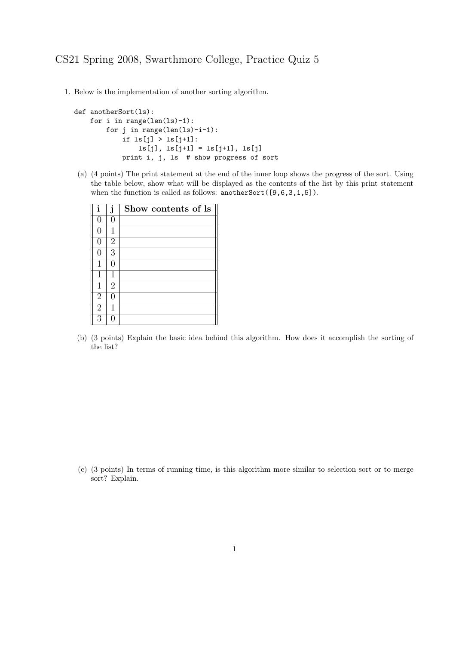1. Below is the implementation of another sorting algorithm.

```
def anotherSort(ls):
for i in range(len(ls)-1):
   for j in range(len(ls)-i-1):
        if ls[j] > ls[j+1]:
            ls[j], ls[j+1] = ls[j+1], ls[j]print i, j, ls # show progress of sort
```
(a) (4 points) The print statement at the end of the inner loop shows the progress of the sort. Using the table below, show what will be displayed as the contents of the list by this print statement when the function is called as follows: anotherSort([9,6,3,1,5]).

| i              | j              | Show contents of ls |
|----------------|----------------|---------------------|
| 0              | 0              |                     |
| 0              | 1              |                     |
| 0              | $\overline{2}$ |                     |
| 0              | 3              |                     |
| 1              | 0              |                     |
| 1              | 1              |                     |
| 1              | $\overline{2}$ |                     |
| $\overline{2}$ | ( )            |                     |
| $\overline{2}$ | 1              |                     |
| 3              |                |                     |

(b) (3 points) Explain the basic idea behind this algorithm. How does it accomplish the sorting of the list?

(c) (3 points) In terms of running time, is this algorithm more similar to selection sort or to merge sort? Explain.